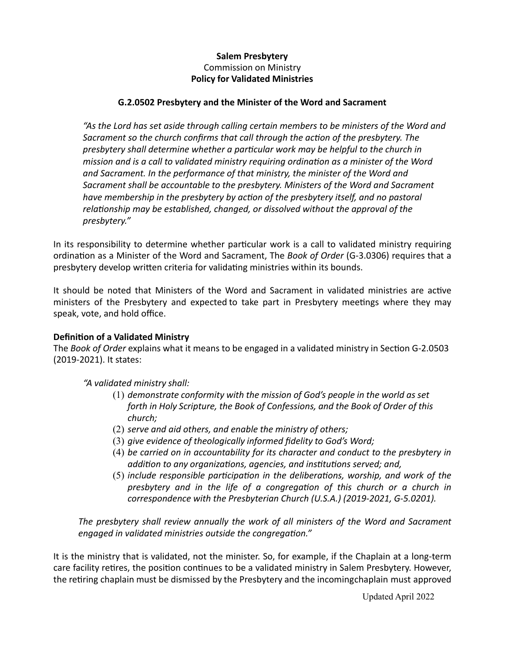# **Salem Presbytery** Commission on Ministry **Policy for Validated Ministries**

#### **G.2.0502 Presbytery and the Minister of the Word and Sacrament**

"As the Lord has set aside through calling certain members to be ministers of the Word and *Sacrament so the church confirms that call through the action of the presbytery. The* presbytery shall determine whether a particular work may be helpful to the church in *mission and is a call to validated ministry requiring ordination as a minister of the Word* and Sacrament. In the performance of that ministry, the minister of the Word and Sacrament shall be accountable to the presbytery. Ministers of the Word and Sacrament *have membership* in the presbytery by action of the presbytery itself, and no pastoral *relationship* may be established, changed, or dissolved without the approval of the *presbytery."*

In its responsibility to determine whether particular work is a call to validated ministry requiring ordination as a Minister of the Word and Sacrament, The *Book of Order* (G-3.0306) requires that a presbytery develop written criteria for validating ministries within its bounds.

It should be noted that Ministers of the Word and Sacrament in validated ministries are active ministers of the Presbytery and expected to take part in Presbytery meetings where they may speak, vote, and hold office.

#### **Definition of a Validated Ministry**

The *Book of Order* explains what it means to be engaged in a validated ministry in Section G-2.0503 (2019-2021). It states:

*"A validated ministry shall:*

- (1) *demonstrate conformity with the mission of God's people in the world as set forth in Holy Scripture, the Book of Confessions, and the Book of Order of this church;*
- (2) *serve and aid others, and enable the ministry of others;*
- (3) *give evidence of theologically informed fidelity to God's Word;*
- (4) *be carried on in accountability for its character and conduct to the presbytery in addition to any organizations, agencies, and institutions served; and,*
- (5) *include responsible participation in the deliberations, worship, and work of the presbytery and in the life of a congregation of this church or a church in correspondence with the Presbyterian Church (U.S.A.) (2019-2021, G-5.0201).*

The presbytery shall review annually the work of all ministers of the Word and Sacrament *engaged in validated ministries outside the congregation."* 

It is the ministry that is validated, not the minister. So, for example, if the Chaplain at a long-term care facility retires, the position continues to be a validated ministry in Salem Presbytery. However, the retiring chaplain must be dismissed by the Presbytery and the incomingchaplain must approved

Updated April 2022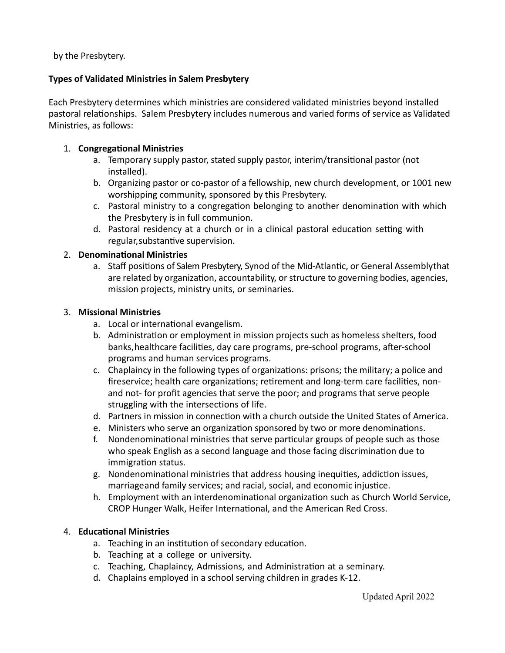by the Presbytery.

# **Types of Validated Ministries in Salem Presbytery**

Each Presbytery determines which ministries are considered validated ministries beyond installed pastoral relationships. Salem Presbytery includes numerous and varied forms of service as Validated Ministries, as follows:

#### 1. **Congregational Ministries**

- a. Temporary supply pastor, stated supply pastor, interim/transitional pastor (not installed).
- b. Organizing pastor or co-pastor of a fellowship, new church development, or 1001 new worshipping community, sponsored by this Presbytery.
- c. Pastoral ministry to a congregation belonging to another denomination with which the Presbytery is in full communion.
- d. Pastoral residency at a church or in a clinical pastoral education setting with regular,substantive supervision.

## 2. **Denominational Ministries**

a. Staff positions of Salem Presbytery, Synod of the Mid-Atlantic, or General Assemblythat are related by organization, accountability, or structure to governing bodies, agencies, mission projects, ministry units, or seminaries.

## 3. **Missional Ministries**

- a. Local or international evangelism.
- b. Administration or employment in mission projects such as homeless shelters, food banks, healthcare facilities, day care programs, pre-school programs, after-school programs and human services programs.
- c. Chaplaincy in the following types of organizations: prisons; the military; a police and fireservice; health care organizations; retirement and long-term care facilities, nonand not- for profit agencies that serve the poor; and programs that serve people struggling with the intersections of life.
- d. Partners in mission in connection with a church outside the United States of America.
- e. Ministers who serve an organization sponsored by two or more denominations.
- f. Nondenominational ministries that serve particular groups of people such as those who speak English as a second language and those facing discrimination due to immigration status.
- g. Nondenominational ministries that address housing inequities, addiction issues, marriageand family services; and racial, social, and economic injustice.
- h. Employment with an interdenominational organization such as Church World Service, CROP Hunger Walk, Heifer International, and the American Red Cross.

#### 4. **Educational Ministries**

- a. Teaching in an institution of secondary education.
- b. Teaching at a college or university.
- c. Teaching, Chaplaincy, Admissions, and Administration at a seminary.
- d. Chaplains employed in a school serving children in grades K-12.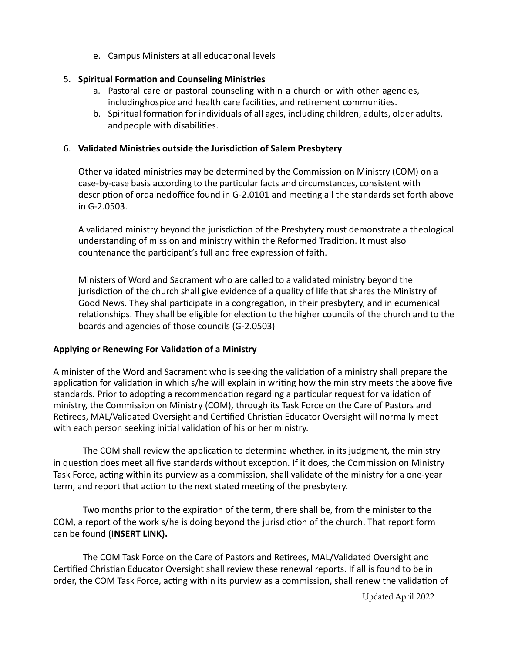e. Campus Ministers at all educational levels

# 5. **Spiritual Formation and Counseling Ministries**

- a. Pastoral care or pastoral counseling within a church or with other agencies, includinghospice and health care facilities, and retirement communities.
- b. Spiritual formation for individuals of all ages, including children, adults, older adults, and people with disabilities.

# 6. **Validated Ministries outside the Jurisdiction of Salem Presbytery**

Other validated ministries may be determined by the Commission on Ministry (COM) on a case-by-case basis according to the particular facts and circumstances, consistent with description of ordained office found in G-2.0101 and meeting all the standards set forth above in G-2.0503.

A validated ministry beyond the jurisdiction of the Presbytery must demonstrate a theological understanding of mission and ministry within the Reformed Tradition. It must also countenance the participant's full and free expression of faith.

Ministers of Word and Sacrament who are called to a validated ministry beyond the jurisdiction of the church shall give evidence of a quality of life that shares the Ministry of Good News. They shallparticipate in a congregation, in their presbytery, and in ecumenical relationships. They shall be eligible for election to the higher councils of the church and to the boards and agencies of those councils (G-2.0503)

# **Applying or Renewing For Validation of a Ministry**

A minister of the Word and Sacrament who is seeking the validation of a ministry shall prepare the application for validation in which s/he will explain in writing how the ministry meets the above five standards. Prior to adopting a recommendation regarding a particular request for validation of ministry, the Commission on Ministry (COM), through its Task Force on the Care of Pastors and Retirees, MAL/Validated Oversight and Certified Christian Educator Oversight will normally meet with each person seeking initial validation of his or her ministry.

The COM shall review the application to determine whether, in its judgment, the ministry in question does meet all five standards without exception. If it does, the Commission on Ministry Task Force, acting within its purview as a commission, shall validate of the ministry for a one-year term, and report that action to the next stated meeting of the presbytery.

Two months prior to the expiration of the term, there shall be, from the minister to the COM, a report of the work s/he is doing beyond the jurisdiction of the church. That report form can be found (**INSERT LINK**).

The COM Task Force on the Care of Pastors and Retirees, MAL/Validated Oversight and Certified Christian Educator Oversight shall review these renewal reports. If all is found to be in order, the COM Task Force, acting within its purview as a commission, shall renew the validation of